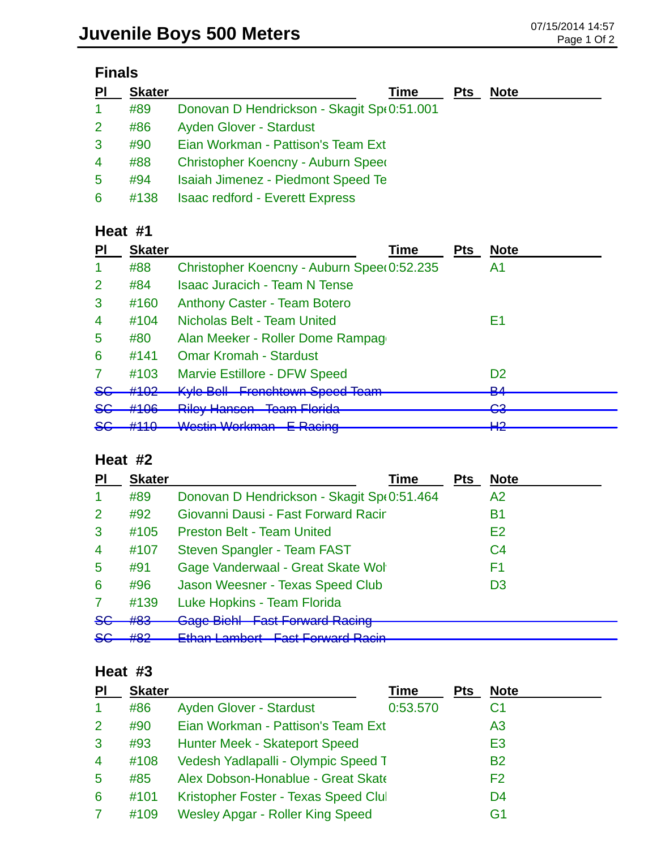# **Finals**

| PI             | <b>Skater</b> | Time                                       | <b>Pts</b> | <b>Note</b> |
|----------------|---------------|--------------------------------------------|------------|-------------|
| -1             | #89           | Donovan D Hendrickson - Skagit Sp(0:51.001 |            |             |
| $\overline{2}$ | #86           | Ayden Glover - Stardust                    |            |             |
| 3              | #90           | Eian Workman - Pattison's Team Ext         |            |             |
| 4              | #88           | Christopher Koencny - Auburn Speed         |            |             |
| 5              | #94           | <b>Isaiah Jimenez - Piedmont Speed Te</b>  |            |             |
| 6              | #138          | <b>Isaac redford - Everett Express</b>     |            |             |

## **Heat #1**

| <b>PI</b>      | <b>Skater</b> | Time                                                                      | <b>Pts</b> | <b>Note</b>         |
|----------------|---------------|---------------------------------------------------------------------------|------------|---------------------|
| 1              | #88           | Christopher Koencny - Auburn Spee(0:52.235                                |            | A1                  |
| $\overline{2}$ | #84           | <b>Isaac Juracich - Team N Tense</b>                                      |            |                     |
| 3              | #160          | <b>Anthony Caster - Team Botero</b>                                       |            |                     |
| $\overline{4}$ | #104          | Nicholas Belt - Team United                                               |            | F1                  |
| $\overline{5}$ | #80           | Alan Meeker - Roller Dome Rampage                                         |            |                     |
| 6              | #141          | <b>Omar Kromah - Stardust</b>                                             |            |                     |
| 7              | #103          | <b>Marvie Estillore - DFW Speed</b>                                       |            | D <sub>2</sub>      |
| <del>SG</del>  | #102          | <b>Kyle Bell Frenchtown Speed Team</b>                                    |            | D <sub>A</sub><br>▱ |
| <del>SG</del>  | #106          | <b>Riley Hansen Team Florida</b>                                          |            | ∩ว<br>▽▽            |
| <del>SG</del>  | #110          | Wastin Warkman E Daoing<br><u>VYUJULI VYUINIIMIT</u><br><u>L Ivaoling</u> |            | ⊔റ<br>ПС            |

#### **Heat #2**

| <b>PI</b>      | <b>Skater</b> | Time                                             | <b>Pts</b> | <b>Note</b>    |
|----------------|---------------|--------------------------------------------------|------------|----------------|
| -1             | #89           | Donovan D Hendrickson - Skagit Sp(0:51.464       |            | A2             |
| 2              | #92           | Giovanni Dausi - Fast Forward Racir              |            | В1             |
| 3              | #105          | <b>Preston Belt - Team United</b>                |            | E2             |
| $\overline{4}$ | #107          | Steven Spangler - Team FAST                      |            | C <sub>4</sub> |
| 5              | #91           | Gage Vanderwaal - Great Skate Wol                |            | F1             |
| 6              | #96           | Jason Weesner - Texas Speed Club                 |            | D <sub>3</sub> |
| $\overline{7}$ | #139          | Luke Hopkins - Team Florida                      |            |                |
| <del>SG</del>  | #83           | <b>Gage Bichl Fast Forward Racing</b>            |            |                |
| <del>SC</del>  | HOP<br>πoΖ    | Ethan Lambert East Fenyard Baoin<br>-man Lannour |            |                |

#### **Heat #3**

| PI             | <b>Skater</b> |                                         | Time     | Pts | <b>Note</b>    |  |
|----------------|---------------|-----------------------------------------|----------|-----|----------------|--|
|                | #86           | <b>Ayden Glover - Stardust</b>          | 0:53.570 |     | C <sub>1</sub> |  |
| 2              | #90           | Eian Workman - Pattison's Team Ext      |          |     | A <sub>3</sub> |  |
| 3              | #93           | <b>Hunter Meek - Skateport Speed</b>    |          |     | E <sub>3</sub> |  |
| $\overline{4}$ | #108          | Vedesh Yadlapalli - Olympic Speed T     |          |     | <b>B2</b>      |  |
| 5              | #85           | Alex Dobson-Honablue - Great Skate      |          |     | F <sub>2</sub> |  |
| 6              | #101          | Kristopher Foster - Texas Speed Clul    |          |     | D <sub>4</sub> |  |
|                | #109          | <b>Wesley Apgar - Roller King Speed</b> |          |     | G1             |  |
|                |               |                                         |          |     |                |  |